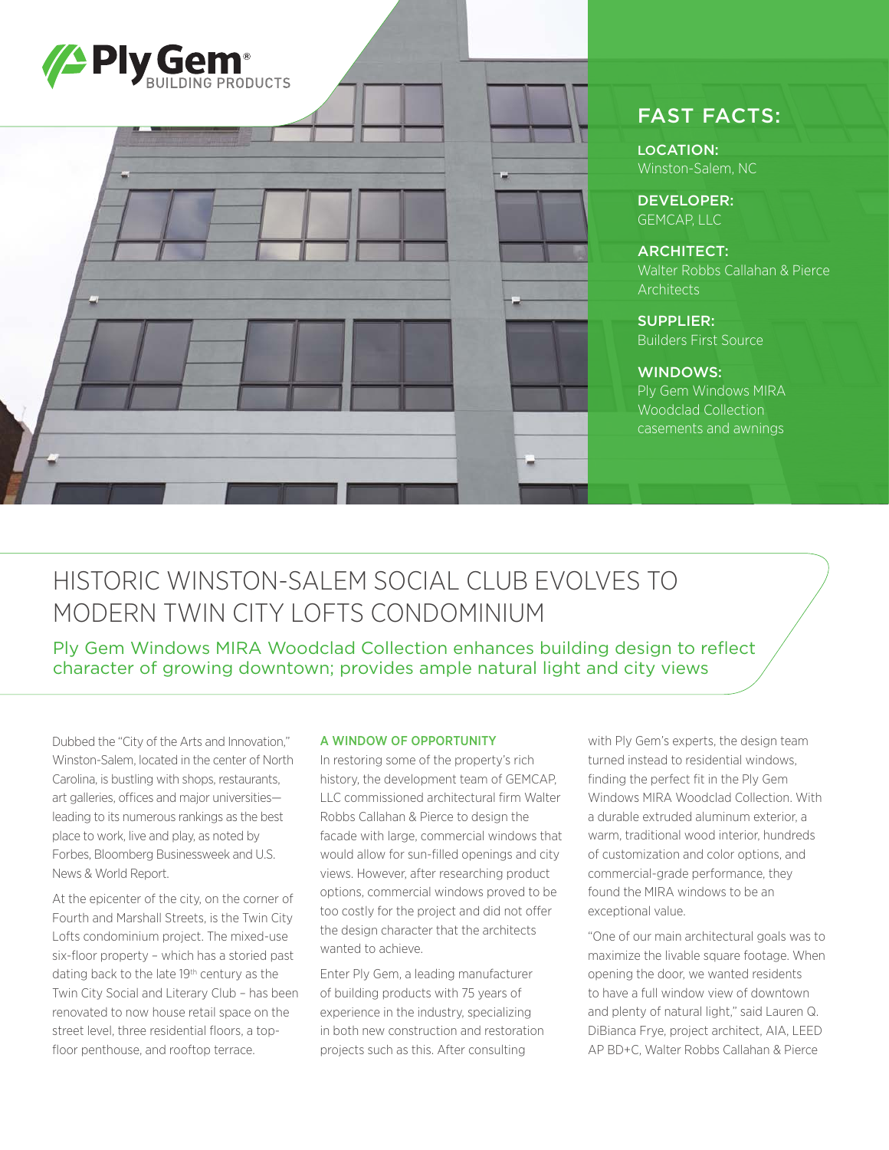

## FAST FACTS:

LOCATION: Winston-Salem, NC

DEVELOPER: GEMCAP<sup>IIC</sup>

ARCHITECT: Walter Robbs Callahan & Pierce **Architects** 

SUPPLIER: Builders First Source

## WINDOWS:

Ply Gem Windows MIRA Woodclad Collection casements and awnings

# HISTORIC WINSTON-SALEM SOCIAL CLUB EVOLVES TO MODERN TWIN CITY LOFTS CONDOMINIUM

Ply Gem Windows MIRA Woodclad Collection enhances building design to reflect character of growing downtown; provides ample natural light and city views

Dubbed the "City of the Arts and Innovation," Winston-Salem, located in the center of North Carolina, is bustling with shops, restaurants, art galleries, offices and major universities leading to its numerous rankings as the best place to work, live and play, as noted by Forbes, Bloomberg Businessweek and U.S. News & World Report.

At the epicenter of the city, on the corner of Fourth and Marshall Streets, is the Twin City Lofts condominium project. The mixed-use six-floor property – which has a storied past dating back to the late 19<sup>th</sup> century as the Twin City Social and Literary Club – has been renovated to now house retail space on the street level, three residential floors, a topfloor penthouse, and rooftop terrace.

#### A WINDOW OF OPPORTUNITY

In restoring some of the property's rich history, the development team of GEMCAP, LLC commissioned architectural firm Walter Robbs Callahan & Pierce to design the facade with large, commercial windows that would allow for sun-filled openings and city views. However, after researching product options, commercial windows proved to be too costly for the project and did not offer the design character that the architects wanted to achieve.

Enter Ply Gem, a leading manufacturer of building products with 75 years of experience in the industry, specializing in both new construction and restoration projects such as this. After consulting

with Ply Gem's experts, the design team turned instead to residential windows, finding the perfect fit in the Ply Gem Windows MIRA Woodclad Collection. With a durable extruded aluminum exterior, a warm, traditional wood interior, hundreds of customization and color options, and commercial-grade performance, they found the MIRA windows to be an exceptional value.

"One of our main architectural goals was to maximize the livable square footage. When opening the door, we wanted residents to have a full window view of downtown and plenty of natural light," said Lauren Q. DiBianca Frye, project architect, AIA, LEED AP BD+C, Walter Robbs Callahan & Pierce